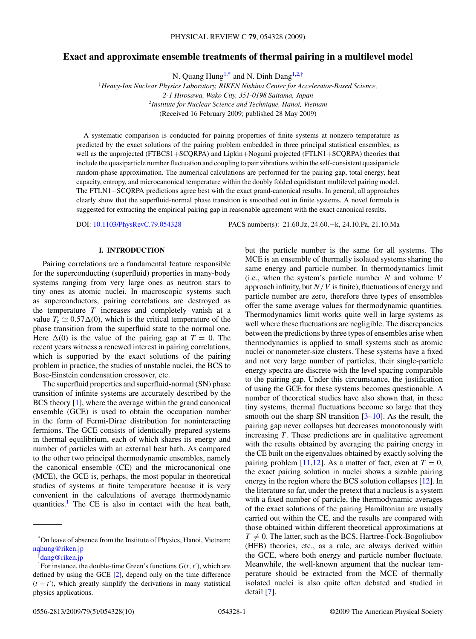# **Exact and approximate ensemble treatments of thermal pairing in a multilevel model**

N. Quang Hung<sup>1,\*</sup> and N. Dinh Dang<sup>1,2,†</sup>

<sup>1</sup>*Heavy-Ion Nuclear Physics Laboratory, RIKEN Nishina Center for Accelerator-Based Science, 2-1 Hirosawa, Wako City, 351-0198 Saitama, Japan* <sup>2</sup>*Institute for Nuclear Science and Technique, Hanoi, Vietnam* (Received 16 February 2009; published 28 May 2009)

A systematic comparison is conducted for pairing properties of finite systems at nonzero temperature as predicted by the exact solutions of the pairing problem embedded in three principal statistical ensembles, as well as the unprojected (FTBCS1+SCQRPA) and Lipkin+Nogami projected (FTLN1+SCQRPA) theories that include the quasiparticle number fluctuation and coupling to pair vibrations within the self-consistent quasiparticle random-phase approximation. The numerical calculations are performed for the pairing gap, total energy, heat capacity, entropy, and microcanonical temperature within the doubly folded equidistant multilevel pairing model. The FTLN1+SCQRPA predictions agree best with the exact grand-canonical results. In general, all approaches clearly show that the superfluid-normal phase transition is smoothed out in finite systems. A novel formula is suggested for extracting the empirical pairing gap in reasonable agreement with the exact canonical results.

DOI: [10.1103/PhysRevC.79.054328](http://dx.doi.org/10.1103/PhysRevC.79.054328) PACS number(s): 21*.*60*.*Jz, 24*.*60*.*−k, 24*.*10*.*Pa, 21*.*10*.*Ma

but the particle number is the same for all systems. The

### **I. INTRODUCTION**

Pairing correlations are a fundamental feature responsible for the superconducting (superfluid) properties in many-body systems ranging from very large ones as neutron stars to tiny ones as atomic nuclei. In macroscopic systems such as superconductors, pairing correlations are destroyed as the temperature *T* increases and completely vanish at a value  $T_c \simeq 0.57\Delta(0)$ , which is the critical temperature of the phase transition from the superfluid state to the normal one. Here  $\Delta(0)$  is the value of the pairing gap at  $T = 0$ . The recent years witness a renewed interest in pairing correlations, which is supported by the exact solutions of the pairing problem in practice, the studies of unstable nuclei, the BCS to Bose-Einstein condensation crossover, etc.

The superfluid properties and superfluid-normal (SN) phase transition of infinite systems are accurately described by the BCS theory [\[1\]](#page-8-0), where the average within the grand canonical ensemble (GCE) is used to obtain the occupation number in the form of Fermi-Dirac distribution for noninteracting fermions. The GCE consists of identically prepared systems in thermal equilibrium, each of which shares its energy and number of particles with an external heat bath. As compared to the other two principal thermodynamic ensembles, namely the canonical ensemble (CE) and the microcanonical one (MCE), the GCE is, perhaps, the most popular in theoretical studies of systems at finite temperature because it is very convenient in the calculations of average thermodynamic quantities.<sup>1</sup> The CE is also in contact with the heat bath,

MCE is an ensemble of thermally isolated systems sharing the same energy and particle number. In thermodynamics limit (i.e., when the system's particle number *N* and volume *V* approach infinity, but *N/V* is finite), fluctuations of energy and particle number are zero, therefore three types of ensembles offer the same average values for thermodynamic quantities. Thermodynamics limit works quite well in large systems as well where these fluctuations are negligible. The discrepancies between the predictions by three types of ensembles arise when thermodynamics is applied to small systems such as atomic nuclei or nanometer-size clusters. These systems have a fixed and not very large number of particles, their single-particle energy spectra are discrete with the level spacing comparable to the pairing gap. Under this circumstance, the justification of using the GCE for these systems becomes questionable. A number of theoretical studies have also shown that, in these tiny systems, thermal fluctuations become so large that they smooth out the sharp SN transition  $[3-10]$ . As the result, the pairing gap never collapses but decreases monotonously with increasing *T* . These predictions are in qualitative agreement with the results obtained by averaging the pairing energy in the CE built on the eigenvalues obtained by exactly solving the pairing problem [\[11,12\]](#page-9-0). As a matter of fact, even at  $T = 0$ , the exact pairing solution in nuclei shows a sizable pairing energy in the region where the BCS solution collapses [\[12\]](#page-9-0). In the literature so far, under the pretext that a nucleus is a system with a fixed number of particle, the thermodynamic averages of the exact solutions of the pairing Hamiltonian are usually carried out within the CE, and the results are compared with those obtained within different theoretical approximations at  $T \neq 0$ . The latter, such as the BCS, Hartree-Fock-Bogoliubov (HFB) theories, etc., as a rule, are always derived within the GCE, where both energy and particle number fluctuate. Meanwhile, the well-known argument that the nuclear temperature should be extracted from the MCE of thermally isolated nuclei is also quite often debated and studied in detail [\[7\]](#page-9-0).

<sup>\*</sup>On leave of absence from the Institute of Physics, Hanoi, Vietnam; [nqhung@riken.jp](mailto:nqhung@riken.jp)

<sup>†</sup> [dang@riken.jp](mailto:dang@riken.jp)

<sup>&</sup>lt;sup>1</sup>For instance, the double-time Green's functions  $G(t, t')$ , which are defined by using the GCE [\[2\]](#page-8-0), depend only on the time difference  $(t - t')$ , which greatly simplify the derivations in many statistical physics applications.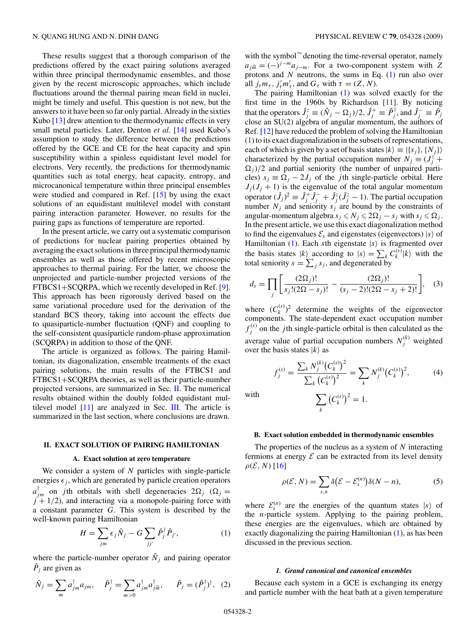<span id="page-1-0"></span>These results suggest that a thorough comparison of the predictions offered by the exact pairing solutions averaged within three principal thermodynamic ensembles, and those given by the recent microscopic approaches, which include fluctuations around the thermal pairing mean field in nuclei, might be timely and useful. This question is not new, but the answers to it have been so far only partial. Already in the sixties Kubo [\[13\]](#page-9-0) drew attention to the thermodynamic effects in very small metal particles. Later, Denton *et al.* [\[14\]](#page-9-0) used Kubo's assumption to study the difference between the predictions offered by the GCE and CE for the heat capacity and spin susceptibility within a spinless equidistant level model for electrons. Very recently, the predictions for thermodynamic quantities such as total energy, heat capacity, entropy, and microcanonical temperature within three principal ensembles were studied and compared in Ref. [\[15\]](#page-9-0) by using the exact solutions of an equidistant multilevel model with constant pairing interaction parameter. However, no results for the pairing gaps as functions of temperature are reported.

In the present article, we carry out a systematic comparison of predictions for nuclear pairing properties obtained by averaging the exact solutions in three principal thermodynamic ensembles as well as those offered by recent microscopic approaches to thermal pairing. For the latter, we choose the unprojected and particle-number projected versions of the FTBCS1+SCQRPA, which we recently developed in Ref. [\[9\]](#page-9-0). This approach has been rigorously derived based on the same variational procedure used for the derivation of the standard BCS theory, taking into account the effects due to quasiparticle-number fluctuation (QNF) and coupling to the self-consistent quasiparticle random-phase approximation (SCQRPA) in addition to those of the QNF.

The article is organized as follows. The pairing Hamiltonian, its diagonalization, ensemble treatments of the exact pairing solutions, the main results of the FTBCS1 and FTBCS1+SCQRPA theories, as well as their particle-number projected versions, are summarized in Sec. II. The numerical results obtained within the doubly folded equidistant multilevel model [\[11\]](#page-9-0) are analyzed in Sec. [III.](#page-4-0) The article is summarized in the last section, where conclusions are drawn.

#### **II. EXACT SOLUTION OF PAIRING HAMILTONIAN**

#### **A. Exact solution at zero temperature**

We consider a system of *N* particles with single-particle energies  $\epsilon_j$ , which are generated by particle creation operators  $a_{jm}^{\dagger}$  on *j*th orbitals with shell degeneracies  $2\Omega_j$  ( $\Omega_j =$  $j + 1/2$ ), and interacting via a monopole-pairing force with a constant parameter *G*. This system is described by the well-known pairing Hamiltonian

$$
H = \sum_{jm} \epsilon_j \hat{N}_j - G \sum_{jj'} \hat{P}_j^{\dagger} \hat{P}_{j'}, \tag{1}
$$

where the particle-number operator  $\hat{N}_i$  and pairing operator  $\hat{P}_j$  are given as

$$
\hat{N}_j = \sum_m a_{jm}^\dagger a_{jm}, \quad \hat{P}_j^\dagger = \sum_{m>0} a_{jm}^\dagger a_{jm}^\dagger, \quad \hat{P}_j = (\hat{P}_j^\dagger)^\dagger, \tag{2}
$$

with the symbol<sup> $\sim$ </sup>denoting the time-reversal operator, namely  $a_{j\tilde{m}} = (-)^{j-m} a_{j-m}$ . For a two-component system with *Z* protons and *N* neutrons, the sums in Eq. (1) run also over all  $j_{\tau}m_{\tau}$ ,  $j'_{\tau}m'_{\tau}$ , and  $G_{\tau}$  with  $\tau = (Z, N)$ .

The pairing Hamiltonian (1) was solved exactly for the first time in the 1960s by Richardson [\[11\]](#page-9-0). By noticing that the operators  $\hat{J}_j^z \equiv (\hat{N}_j - \Omega_j)/2$ ,  $\hat{J}_j^+ \equiv \hat{P}_j^{\dagger}$ , and  $\hat{J}_j^- \equiv \hat{P}_j$ close an SU(2) algebra of angular momentum, the authors of Ref. [\[12\]](#page-9-0) have reduced the problem of solving the Hamiltonian (1) to its exact diagonalization in the subsets of representations, each of which is given by a set of basis states  $|k\rangle \equiv |\{s_j\}, \{N_j\}\rangle$ characterized by the partial occupation number  $N_j \equiv (J_j^2 +$  $\Omega_i$ )/2 and partial seniority (the number of unpaired particles)  $s_j \equiv \Omega_j - 2J_j$  of the *j*th single-particle orbital. Here  $J_j$  $(J_j + 1)$  is the eigenvalue of the total angular momentum operator  $(\hat{J}_j)^2 \equiv \hat{J}_j^+ \hat{J}_j^- + \hat{J}_j^z (\hat{J}_j^z - 1)$ . The partial occupation number  $N_j$  and seniority  $s_j$  are bound by the constraints of angular-momentum algebra  $s_j \le N_j \le 2\Omega_j - s_j$  with  $s_j \le \Omega_j$ . In the present article, we use this exact diagonalization method to find the eigenvalues  $\mathcal{E}_s$  and eigenstates (eigenvectors)  $|s\rangle$  of Hamiltonian (1). Each *s*th eigenstate  $|s\rangle$  is fragmented over the basis states  $|k\rangle$  according to  $|s\rangle = \sum_{k} C_k^{(s)} |k\rangle$  with the total seniority  $s = \sum_j s_j$ , and degenerated by

$$
d_s = \prod_j \left[ \frac{(2\Omega_j)!}{s_j!(2\Omega - s_j)!} - \frac{(2\Omega_j)!}{(s_j - 2)!(2\Omega - s_j + 2)!} \right], \quad (3)
$$

where  $(C_k^{(s)})^2$  determine the weights of the eigenvector components. The state-dependent exact occupation number  $f_j^{(s)}$  on the *j*th single-particle orbital is then calculated as the average value of partial occupation numbers  $N_j^{(k)}$  weighted over the basis states  $|k\rangle$  as

$$
f_j^{(s)} = \frac{\sum_k N_j^{(k)} (C_k^{(s)})^2}{\sum_k (C_k^{(s)})^2} = \sum_k N_j^{(k)} (C_k^{(s)})^2, \tag{4}
$$

with  $\nabla$ 

# **B. Exact solution embedded in thermodynamic ensembles**

 $(C_k^{(s)})^2 = 1.$ 

*k*

The properties of the nucleus as a system of *N* interacting fermions at energy  $\mathcal E$  can be extracted from its level density  $\rho(\mathcal{E},N)$  [\[16\]](#page-9-0)

$$
\rho(\mathcal{E}, N) = \sum_{s,n} \delta(\mathcal{E} - \mathcal{E}_s^{(n)}) \delta(N - n),\tag{5}
$$

where  $\mathcal{E}_{s}^{(n)}$  are the energies of the quantum states  $|s\rangle$  of the *n*-particle system. Applying to the pairing problem, these energies are the eigenvalues, which are obtained by exactly diagonalizing the pairing Hamiltonian (1), as has been discussed in the previous section.

#### *1. Grand canonical and canonical ensembles*

Because each system in a GCE is exchanging its energy and particle number with the heat bath at a given temperature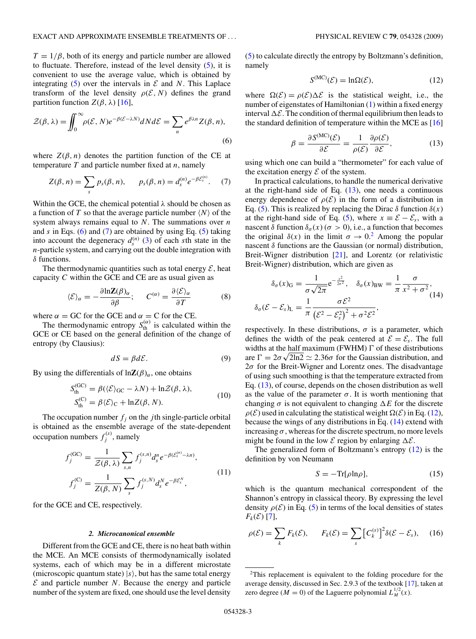<span id="page-2-0"></span> $T = 1/\beta$ , both of its energy and particle number are allowed to fluctuate. Therefore, instead of the level density  $(5)$ , it is convenient to use the average value, which is obtained by integrating  $(5)$  over the intervals in  $\mathcal E$  and  $N$ . This Laplace transform of the level density  $\rho(\mathcal{E}, N)$  defines the grand partition function  $Z(\beta, \lambda)$  [\[16\]](#page-9-0),

$$
\mathcal{Z}(\beta,\lambda) = \iint_0^\infty \rho(\mathcal{E}, N) e^{-\beta(\mathcal{E}-\lambda N)} dN d\mathcal{E} = \sum_n e^{\beta \lambda n} Z(\beta, n),
$$
\n(6)

where  $Z(\beta, n)$  denotes the partition function of the CE at temperature *T* and particle number fixed at *n*, namely

$$
Z(\beta, n) = \sum_{s} p_s(\beta, n), \qquad p_s(\beta, n) = d_s^{(n)} e^{-\beta \mathcal{E}_s^{(n)}}.
$$
 (7)

Within the GCE, the chemical potential *λ* should be chosen as a function of *T* so that the average particle number  $\langle N \rangle$  of the system always remains equal to *N*. The summations over *n* and *s* in Eqs. (6) and (7) are obtained by using Eq. [\(5\)](#page-1-0) taking into account the degeneracy  $d_s^{(n)}$  [\(3\)](#page-1-0) of each *s*th state in the *n*-particle system, and carrying out the double integration with *δ* functions.

The thermodynamic quantities such as total energy  $\mathcal{E}$ , heat capacity *C* within the GCE and CE are as usual given as

$$
\langle \mathcal{E} \rangle_{\alpha} = -\frac{\partial \ln \mathbf{Z}(\beta)_{\alpha}}{\partial \beta}; \qquad C^{(\alpha)} = \frac{\partial \langle \mathcal{E} \rangle_{\alpha}}{\partial T}
$$
(8)

where  $\alpha =$  GC for the GCE and  $\alpha =$  C for the CE.

The thermodynamic entropy  $S_{\text{th}}^{(\alpha)}$  is calculated within the GCE or CE based on the general definition of the change of entropy (by Clausius):

$$
dS = \beta d\mathcal{E}.\tag{9}
$$

By using the differentials of  $\ln Z(\beta)_{\alpha}$ , one obtains

$$
S_{\text{th}}^{(\text{GC})} = \beta(\langle \mathcal{E} \rangle_{\text{GC}} - \lambda N) + \ln \mathcal{Z}(\beta, \lambda),
$$
  
\n
$$
S_{\text{th}}^{(\text{C})} = \beta \langle \mathcal{E} \rangle_{\text{C}} + \ln \mathcal{Z}(\beta, N). \tag{10}
$$

The occupation number  $f_j$  on the *j* th single-particle orbital is obtained as the ensemble average of the state-dependent occupation numbers  $f_j^{(s)}$ , namely

$$
f_j^{(\text{GC})} = \frac{1}{\mathcal{Z}(\beta, \lambda)} \sum_{s,n} f_j^{(s,n)} d_s^n e^{-\beta(\mathcal{E}_s^{(n)} - \lambda n)},
$$
  

$$
f_j^{(\text{C})} = \frac{1}{\mathcal{Z}(\beta, N)} \sum_s f_j^{(s,N)} d_s^N e^{-\beta \mathcal{E}_s^N},
$$
 (11)

for the GCE and CE, respectively.

### *2. Microcanonical ensemble*

Different from the GCE and CE, there is no heat bath within the MCE. An MCE consists of thermodynamically isolated systems, each of which may be in a different microstate (microscopic quantum state)  $|s\rangle$ , but has the same total energy  $\mathcal E$  and particle number  $N$ . Because the energy and particle number of the system are fixed, one should use the level density

[\(5\)](#page-1-0) to calculate directly the entropy by Boltzmann's definition, namely

$$
S^{(\text{MC})}(\mathcal{E}) = \ln \Omega(\mathcal{E}),\tag{12}
$$

where  $\Omega(\mathcal{E}) = \rho(\mathcal{E})\Delta \mathcal{E}$  is the statistical weight, i.e., the number of eigenstates of Hamiltonian [\(1\)](#page-1-0) within a fixed energy interval  $\Delta \mathcal{E}$ . The condition of thermal equilibrium then leads to the standard definition of temperature within the MCE as  $[16]$ 

$$
\beta = \frac{\partial S^{(\text{MC})}(\mathcal{E})}{\partial \mathcal{E}} = \frac{1}{\rho(\mathcal{E})} \frac{\partial \rho(\mathcal{E})}{\partial \mathcal{E}},
$$
(13)

using which one can build a "thermometer" for each value of the excitation energy  $\mathcal E$  of the system.

In practical calculations, to handle the numerical derivative at the right-hand side of Eq.  $(13)$ , one needs a continuous energy dependence of  $\rho(\mathcal{E})$  in the form of a distribution in Eq. [\(5\)](#page-1-0). This is realized by replacing the Dirac *δ* function *δ*(*x*) at the right-hand side of Eq. [\(5\)](#page-1-0), where  $x \equiv \mathcal{E} - \mathcal{E}_s$ , with a nascent  $\delta$  function  $\delta_{\sigma}(x)$  ( $\sigma > 0$ ), i.e., a function that becomes the original  $\delta(x)$  in the limit  $\sigma \to 0.2$  Among the popular nascent *δ* functions are the Gaussian (or normal) distribution, Breit-Wigner distribution [\[21\]](#page-9-0), and Lorentz (or relativistic Breit-Wigner) distribution, which are given as

$$
\delta_{\sigma}(x)_{\text{G}} = \frac{1}{\sigma\sqrt{2\pi}}e^{-\frac{x^2}{2\sigma^2}}, \quad \delta_{\sigma}(x)_{\text{BW}} = \frac{1}{\pi}\frac{\sigma}{x^2 + \sigma^2},
$$

$$
\delta_{\sigma}(\mathcal{E} - \mathcal{E}_s)_{\text{L}} = \frac{1}{\pi}\frac{\sigma\mathcal{E}^2}{(\mathcal{E}^2 - \mathcal{E}_s^2)^2 + \sigma^2\mathcal{E}^2},
$$
(14)

respectively. In these distributions,  $\sigma$  is a parameter, which defines the width of the peak centered at  $\mathcal{E} = \mathcal{E}_s$ . The full widths at the half maximum (FWHM)  $\Gamma$  of these distributions widths at the half maximum (FWHM) T of these distributions are  $\Gamma = 2\sigma\sqrt{2\ln 2} \simeq 2.36\sigma$  for the Gaussian distribution, and 2*σ* for the Breit-Wigner and Lorentz ones. The disadvantage of using such smoothing is that the temperature extracted from Eq. (13), of course, depends on the chosen distribution as well as the value of the parameter  $\sigma$ . It is worth mentioning that changing  $\sigma$  is not equivalent to changing  $\Delta E$  for the discrete  $\rho(\mathcal{E})$  used in calculating the statistical weight  $\Omega(\mathcal{E})$  in Eq. (12), because the wings of any distributions in Eq. (14) extend with increasing  $\sigma$ , whereas for the discrete spectrum, no more levels might be found in the low  $\mathcal E$  region by enlarging  $\Delta \mathcal E$ .

The generalized form of Boltzmann's entropy (12) is the definition by von Neumann

$$
S = -\text{Tr}[\rho \ln \rho],\tag{15}
$$

which is the quantum mechanical correspondent of the Shannon's entropy in classical theory. By expressing the level density  $\rho(\mathcal{E})$  in Eq. [\(5\)](#page-1-0) in terms of the local densities of states  $F_k(\mathcal{E})$  [\[7\]](#page-9-0),

$$
\rho(\mathcal{E}) = \sum_{k} F_k(\mathcal{E}), \qquad F_k(\mathcal{E}) = \sum_{s} \left[ C_k^{(s)} \right]^2 \delta(\mathcal{E} - \mathcal{E}_s), \tag{16}
$$

<sup>2</sup>This replacement is equivalent to the folding procedure for the average density, discussed in Sec. 2.9.3 of the textbook [\[17\]](#page-9-0), taken at zero degree ( $\dot{M} = 0$ ) of the Laguerre polynomial  $L_M^{1/2}(x)$ .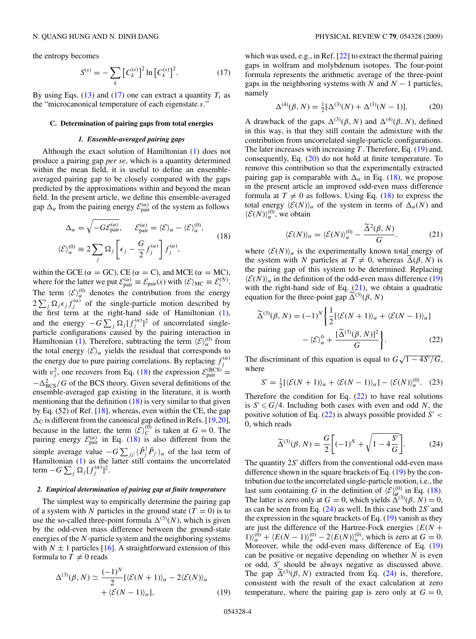<span id="page-3-0"></span>the entropy becomes

$$
S^{(s)} = -\sum_{k} \left[C_{k}^{(s)}\right]^{2} \ln \left[C_{k}^{(s)}\right]^{2}.
$$
 (17)

By using Eqs.  $(13)$  and  $(17)$  one can extract a quantity  $T_s$  as the "microcanonical temperature of each eigenstate *s*."

# **C. Determination of pairing gaps from total energies**

#### *1. Ensemble-averaged pairing gaps*

Although the exact solution of Hamiltonian [\(1\)](#page-1-0) does not produce a pairing gap *per se*, which is a quantity determined within the mean field, it is useful to define an ensembleaveraged pairing gap to be closely compared with the gaps predicted by the approximations within and beyond the mean field. In the present article, we define this ensemble-averaged gap  $\Delta_{\alpha}$  from the pairing energy  $\mathcal{E}_{\text{pair}}^{(\alpha)}$  of the system as follows

$$
\Delta_{\alpha} = \sqrt{-G\mathcal{E}_{\text{pair}}^{(\alpha)}}, \qquad \mathcal{E}_{\text{pair}}^{(\alpha)} = \langle \mathcal{E} \rangle_{\alpha} - \langle \mathcal{E} \rangle_{\alpha}^{(0)},
$$
  

$$
\langle \mathcal{E} \rangle_{\alpha}^{(0)} \equiv 2 \sum_{j} \Omega_{j} \left[ \epsilon_{j} - \frac{G}{2} f_{j}^{(\alpha)} \right] f_{j}^{(\alpha)},
$$
(18)

within the GCE ( $\alpha =$  GC), CE ( $\alpha =$  C), and MCE ( $\alpha =$  MC), where for the latter we put  $\mathcal{E}_{\text{pair}}^{(\alpha)} \equiv \mathcal{E}_{\text{pair}}(s)$  with  $\langle \mathcal{E} \rangle_{\text{MC}} \equiv \mathcal{E}_{s}^{(N)}$ . The term  $\langle \mathcal{E} \rangle_{\alpha}^{(0)}$  denotes the contribution from the energy  $2\sum_{j} \Omega_{j} \epsilon_{j} f_{j}^{(\alpha)}$  of the single-particle motion described by the first term at the right-hand side of Hamiltonian [\(1\)](#page-1-0), and the energy  $-G \sum_j \Omega_j [f_j^{(\alpha)}]^2$  of uncorrelated singleparticle configurations caused by the pairing interaction in Hamiltonian [\(1\)](#page-1-0). Therefore, subtracting the term  $\langle \mathcal{E} \rangle_{\alpha}^{(0)}$  from the total energy  $\langle \mathcal{E} \rangle_{\alpha}$  yields the residual that corresponds to the energy due to pure pairing correlations. By replacing  $f_j^{(\alpha)}$ with  $v_j^2$ , one recovers from Eq. (18) the expression  $\mathcal{E}_{\text{pair}}^{\text{(BCS)}} =$ −<sup>2</sup> BCS*/G* of the BCS theory. Given several definitions of the ensemble-averaged gap existing in the literature, it is worth mentioning that the definition  $(18)$  is very similar to that given by Eq. (52) of Ref. [\[18\]](#page-9-0), whereas, even within the CE, the gap  $\Delta_C$  is different from the canonical gap defined in Refs. [\[19,20\]](#page-9-0), because in the latter, the term  $\langle \mathcal{E} \rangle_C^{(0)}$  is taken at  $G = 0$ . The pairing energy  $\mathcal{E}_{\text{pair}}^{(\alpha)}$  in Eq. (18) is also different from the simple average value  $-G \sum_{jj'} \langle \hat{P}_j^{\dagger} \hat{P}_{j'} \rangle_{\alpha}$  of the last term of Hamiltonian [\(1\)](#page-1-0) as the latter still contains the uncorrelated term  $-G \sum_j \Omega_j [f_j^{(\alpha)}]^2$ .

#### *2. Empirical determination of pairing gap at finite temperature*

The simplest way to empirically determine the pairing gap of a system with *N* particles in the ground state  $(T = 0)$  is to use the so-called three-point formula  $\Delta^{(3)}(N)$ , which is given by the odd-even mass difference between the ground-state energies of the *N*-particle system and the neighboring systems with  $N \pm 1$  particles [\[16\]](#page-9-0). A straightforward extension of this formula to  $T \neq 0$  reads

$$
\Delta^{(3)}(\beta, N) \simeq \frac{(-1)^N}{2} [\langle \mathcal{E}(N+1) \rangle_{\alpha} - 2 \langle \mathcal{E}(N) \rangle_{\alpha} + \langle \mathcal{E}(N-1) \rangle_{\alpha}], \tag{19}
$$

which was used, e.g., in Ref. [\[22\]](#page-9-0) to extract the thermal pairing gaps in wolfram and molybdenum isotopes. The four-point formula represents the arithmetic average of the three-point gaps in the neighboring systems with  $N$  and  $N - 1$  particles, namely

$$
\Delta^{(4)}(\beta, N) = \frac{1}{2} [\Delta^{(3)}(N) + \Delta^{(3)}(N-1)].
$$
 (20)

A drawback of the gaps  $\Delta^{(3)}(\beta, N)$  and  $\Delta^{(4)}(\beta, N)$ , defined in this way, is that they still contain the admixture with the contribution from uncorrelated single-particle configurations. The later increases with increasing *T* . Therefore, Eq. (19) and, consequently, Eq. (20) do not hold at finite temperature. To remove this contribution so that the experimentally extracted pairing gap is comparable with  $\Delta_{\alpha}$  in Eq. (18), we propose in the present article an improved odd-even mass difference formula at  $T \neq 0$  as follows. Using Eq. (18) to express the total energy  $\langle \mathcal{E}(N) \rangle_{\alpha}$  of the system in terms of  $\Delta_{\alpha}(N)$  and  $\langle \mathcal{E}(N) \rangle_{\alpha}^{(0)}$ , we obtain

$$
\langle \mathcal{E}(N) \rangle_{\alpha} = \langle \mathcal{E}(N) \rangle_{\alpha}^{(0)} - \frac{\widetilde{\Delta}^2(\beta, N)}{G}.
$$
 (21)

where  $\langle \mathcal{E}(N) \rangle_{\alpha}$  is the experimentally known total energy of the system with *N* particles at  $T \neq 0$ , whereas  $\Delta(\beta, N)$  is the pairing gap of this system to be determined. Replacing  $\langle \mathcal{E}(N) \rangle_{\alpha}$  in the definition of the odd-even mass difference (19) with the right-hand side of Eq. (21), we obtain a quadratic equation for the three-point gap  $\tilde{\Delta}^{(3)}(\beta, N)$ 

$$
\widetilde{\Delta}^{(3)}(\beta, N) = (-1)^N \left\{ \frac{1}{2} \left[ \langle \mathcal{E}(N+1) \rangle_{\alpha} + \langle \mathcal{E}(N-1) \rangle_{\alpha} \right] - \langle \mathcal{E} \rangle_{\alpha}^0 + \frac{\left[ \widetilde{\Delta}^{(3)}(\beta, N) \right]^2}{G} \right\}.
$$
\n(22)

The discriminant of this equation is equal to  $G\sqrt{1-4S'/G}$ , where

$$
S' = \frac{1}{2} [\langle \mathcal{E}(N+1) \rangle_{\alpha} + \langle \mathcal{E}(N-1) \rangle_{\alpha}] - \langle \mathcal{E}(N) \rangle_{\alpha}^{(0)}.
$$
 (23)

Therefore the condition for Eq. (22) to have real solutions is  $S' \le G/4$ . Including both cases with even and odd *N*, the positive solution of Eq.  $(22)$  is always possible provided  $S'$  < 0, which reads

$$
\widetilde{\Delta}^{(3)}(\beta, N) = \frac{G}{2} \left[ (-1)^N + \sqrt{1 - 4\frac{S'}{G}} \right].
$$
 (24)

The quantity 2*S'* differs from the conventional odd-even mass difference shown in the square brackets of Eq. (19) by the contribution due to the uncorrelated single-particle motion, i.e., the last sum containing *G* in the definition of  $\langle \mathcal{E} \rangle_{\mathcal{Q}_{(2)}}^{(0)}$  in Eq. (18). The latter is zero only at  $G = 0$ , which yields  $\tilde{\Delta}^{(3)}(\beta, N) = 0$ , as can be seen from Eq.  $(24)$  as well. In this case both  $25'$  and the expression in the square brackets of Eq. (19) vanish as they are just the difference of the Hartree-Fock energies  $\langle E(N +$  $(1)$ <sup>(0)</sup> $_{\alpha}$  +  $\langle E(N-1)\rangle_{\alpha}^{(0)} - 2\langle E(N)\rangle_{\alpha}^{(0)}$ , which is zero at  $G = 0$ . Moreover, while the odd-even mass difference of Eq. (19) can be positive or negative depending on whether *N* is even or odd, S' should be always negative as discussed above. The gap  $\tilde{\Delta}^{(3)}(\beta, N)$  extracted from Eq. (24) is, therefore, consistent with the result of the exact calculation at zero temperature, where the pairing gap is zero only at  $G = 0$ ,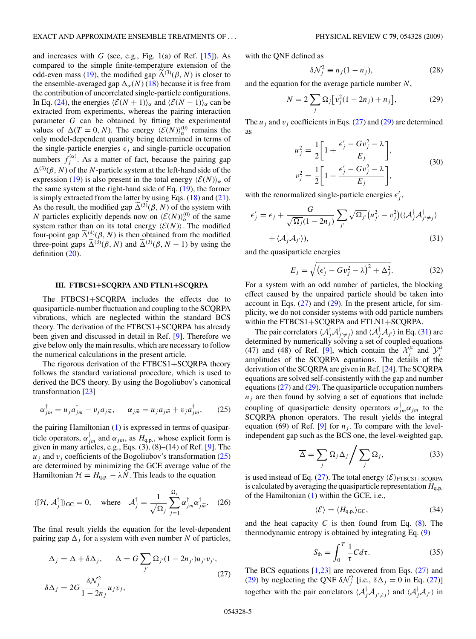<span id="page-4-0"></span>and increases with  $G$  (see, e.g., Fig. 1(a) of Ref.  $[15]$ ). As compared to the simple finite-temperature extension of the odd-even mass [\(19\)](#page-3-0), the modified gap  $\tilde{\Delta}^{(3)}(\beta, N)$  is closer to the ensemble-averaged gap  $\Delta_{\alpha}(N)$  [\(18\)](#page-3-0) because it is free from the contribution of uncorrelated single-particle configurations. In Eq. [\(24\)](#page-3-0), the energies  $\langle \mathcal{E}(N + 1) \rangle_{\alpha}$  and  $\langle \mathcal{E}(N - 1) \rangle_{\alpha}$  can be extracted from experiments, whereas the pairing interaction parameter *G* can be obtained by fitting the experimental values of  $\Delta(T = 0, N)$ . The energy  $\langle \mathcal{E}(N) \rangle_{\alpha}^{(0)}$  remains the only model-dependent quantity being determined in terms of the single-particle energies  $\epsilon_j$  and single-particle occupation numbers  $f_j^{(\alpha)}$ . As a matter of fact, because the pairing gap  $\Delta^{(3)}(\beta, N)$  of the *N*-particle system at the left-hand side of the expression [\(19\)](#page-3-0) is also present in the total energy  $\langle \mathcal{E}(N) \rangle_{\alpha}$  of the same system at the right-hand side of Eq. [\(19\)](#page-3-0), the former is simply extracted from the latter by using Eqs. [\(18\)](#page-3-0) and [\(21\)](#page-3-0). As the result, the modified gap  $\tilde{\Delta}^{(3)}(\beta, N)$  of the system with *N* particles explicitly depends now on  $\langle \mathcal{E}(N) \rangle_{\alpha}^{(0)}$  of the same system rather than on its total energy  $\langle \mathcal{E}(N) \rangle$ . The modified four-point gap  $\tilde{\Delta}^{(4)}(\beta, N)$  is then obtained from the modified three-point gaps  $\tilde{\Delta}^{(3)}(\beta, N)$  and  $\tilde{\Delta}^{(3)}(\beta, N - 1)$  by using the definition  $(20)$ .

#### **III. FTBCS1+SCQRPA AND FTLN1+SCQRPA**

The FTBCS1+SCQRPA includes the effects due to quasiparticle-number fluctuation and coupling to the SCQRPA vibrations, which are neglected within the standard BCS theory. The derivation of the FTBCS1+SCQRPA has already been given and discussed in detail in Ref. [\[9\]](#page-9-0). Therefore we give below only the main results, which are necessary to follow the numerical calculations in the present article.

The rigorous derivation of the FTBCS1+SCQRPA theory follows the standard variational procedure, which is used to derived the BCS theory. By using the Bogoliubov's canonical transformation [\[23\]](#page-9-0)

$$
\alpha_{jm}^{\dagger} = u_j a_{jm}^{\dagger} - v_j a_j \tilde{m}, \qquad \alpha_{jm} = u_j a_{jm} + v_j a_{jm}^{\dagger}, \qquad (25)
$$

the pairing Hamiltonian [\(1\)](#page-1-0) is expressed in terms of quasiparticle operators,  $\alpha_{jm}^{\dagger}$  and  $\alpha_{jm}$ , as  $H_{q.p.}$ , whose explicit form is given in many articles, e.g., Eqs. (3), (8)–(14) of Ref. [\[9\]](#page-9-0). The  $u_j$  and  $v_j$  coefficients of the Bogoliubov's transformation (25) are determined by minimizing the GCE average value of the Hamiltonian  $\mathcal{H} = H_{q,p} - \lambda \hat{N}$ . This leads to the equation

$$
\langle [\mathcal{H}, \mathcal{A}_j^{\dagger}] \rangle_{\text{GC}} = 0
$$
, where  $\mathcal{A}_j^{\dagger} = \frac{1}{\sqrt{\Omega_j}} \sum_{j=1}^{\Omega_j} \alpha_{jm}^{\dagger} \alpha_{jm}^{\dagger}$ . (26)

The final result yields the equation for the level-dependent pairing gap  $\Delta_i$  for a system with even number *N* of particles,

$$
\Delta_j = \Delta + \delta \Delta_j, \qquad \Delta = G \sum_{j'} \Omega_{j'} (1 - 2n_{j'}) u_{j'} v_{j'},
$$
  

$$
\delta \Delta_j = 2G \frac{\delta \mathcal{N}_j^2}{1 - 2n_j} u_j v_j,
$$
 (27)

with the QNF defined as

$$
\delta \mathcal{N}_j^2 \equiv n_j (1 - n_j),\tag{28}
$$

and the equation for the average particle number *N*,

$$
N = 2\sum_{j} \Omega_{j} [v_{j}^{2}(1 - 2n_{j}) + n_{j}],
$$
 (29)

The  $u_i$  and  $v_j$  coefficients in Eqs. (27) and (29) are determined as

$$
u_j^2 = \frac{1}{2} \left[ 1 + \frac{\epsilon_j' - Gv_j^2 - \lambda}{E_j} \right],
$$
  
\n
$$
v_j^2 = \frac{1}{2} \left[ 1 - \frac{\epsilon_j' - Gv_j^2 - \lambda}{E_j} \right],
$$
\n(30)

with the renormalized single-particle energies  $\epsilon'_j$ ,

$$
\epsilon'_{j} = \epsilon_{j} + \frac{G}{\sqrt{\Omega_{j}}(1 - 2n_{j})} \sum_{j'} \sqrt{\Omega_{j'}} (u_{j'}^{2} - v_{j}^{2}) (\langle A_{j}^{\dagger} A_{j' \neq j}^{\dagger}) + \langle A_{j}^{\dagger} A_{j'} \rangle), \tag{31}
$$

and the quasiparticle energies

$$
E_j = \sqrt{\left(\epsilon_j' - G v_j^2 - \lambda\right)^2 + \Delta_j^2}.
$$
 (32)

For a system with an odd number of particles, the blocking effect caused by the unpaired particle should be taken into account in Eqs.  $(27)$  and  $(29)$ . In the present article, for simplicity, we do not consider systems with odd particle numbers within the FTBCS1+SCQRPA and FTLN1+SCQRPA.

The pair correlators  $\langle A_j^{\dagger} A_{j'\neq j}^{\dagger} \rangle$  and  $\langle A_j^{\dagger} A_{j'} \rangle$  in Eq. (31) are determined by numerically solving a set of coupled equations (47) and (48) of Ref. [\[9\]](#page-9-0), which contain the  $\mathcal{X}^{\mu}_{j}$  and  $\mathcal{Y}^{\mu}_{j}$ amplitudes of the SCQRPA equations. The details of the derivation of the SCQRPA are given in Ref. [\[24\]](#page-9-0). The SCQRPA equations are solved self-consistently with the gap and number equations  $(27)$  and  $(29)$ . The quasiparticle occupation numbers  $n_i$  are then found by solving a set of equations that include coupling of quasiparticle density operators  $\alpha_{jm}^{\dagger} \alpha_{jm}$  to the SCQRPA phonon operators. The result yields the integral equation (69) of Ref. [\[9\]](#page-9-0) for  $n<sub>j</sub>$ . To compare with the levelindependent gap such as the BCS one, the level-weighted gap,

$$
\overline{\Delta} = \sum_{j} \Omega_{j} \Delta_{j} / \sum_{j} \Omega_{j},
$$
 (33)

is used instead of Eq. (27). The total energy  $\langle \mathcal{E} \rangle_{\text{FTBCS1+SCQRPA}}$ is calculated by averaging the quasiparticle representation  $H_{q,p}$ . of the Hamiltonian [\(1\)](#page-1-0) within the GCE, i.e.,

$$
\langle \mathcal{E} \rangle = \langle H_{\text{q.p.}} \rangle_{\text{GC}},\tag{34}
$$

and the heat capacity  $C$  is then found from Eq.  $(8)$ . The thermodynamic entropy is obtained by integrating Eq. [\(9\)](#page-2-0)

$$
S_{\text{th}} = \int_0^T \frac{1}{\tau} C d\tau.
$$
 (35)

The BCS equations [\[1,](#page-8-0)[23\]](#page-9-0) are recovered from Eqs. (27) and (29) by neglecting the QNF  $\delta \mathcal{N}_j^2$  [i.e.,  $\delta \Delta_j = 0$  in Eq. (27)] together with the pair correlators  $\langle A_j^{\dagger} A_{j'\neq j}^{\dagger} \rangle$  and  $\langle A_j^{\dagger} A_{j'} \rangle$  in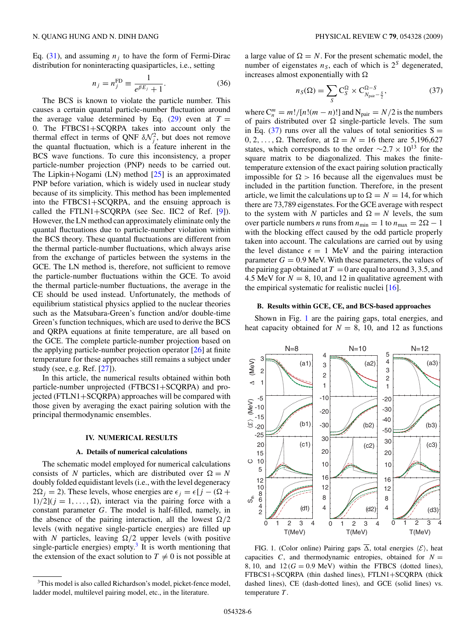<span id="page-5-0"></span>Eq.  $(31)$ , and assuming  $n_i$  to have the form of Fermi-Dirac distribution for noninteracting quasiparticles, i.e., setting

$$
n_j = n_j^{\text{FD}} \equiv \frac{1}{e^{\beta E_j} + 1}.
$$
 (36)

The BCS is known to violate the particle number. This causes a certain quantal particle-number fluctuation around the average value determined by Eq.  $(29)$  even at  $T =$ 0. The FTBCS1+SCQRPA takes into account only the thermal effect in terms of QNF  $\delta \mathcal{N}_j^2$ , but does not remove the quantal fluctuation, which is a feature inherent in the BCS wave functions. To cure this inconsistency, a proper particle-number projection (PNP) needs to be carried out. The Lipkin+Nogami (LN) method [\[25\]](#page-9-0) is an approximated PNP before variation, which is widely used in nuclear study because of its simplicity. This method has been implemented into the FTBCS1+SCQRPA, and the ensuing approach is called the FTLN1+SCQRPA (see Sec. IIC2 of Ref.  $[9]$ ). However, the LN method can approximately eliminate only the quantal fluctuations due to particle-number violation within the BCS theory. These quantal fluctuations are different from the thermal particle-number fluctuations, which always arise from the exchange of particles between the systems in the GCE. The LN method is, therefore, not sufficient to remove the particle-number fluctuations within the GCE. To avoid the thermal particle-number fluctuations, the average in the CE should be used instead. Unfortunately, the methods of equilibrium statistical physics applied to the nuclear theories such as the Matsubara-Green's function and/or double-time Green's function techniques, which are used to derive the BCS and QRPA equations at finite temperature, are all based on the GCE. The complete particle-number projection based on the applying particle-number projection operator [\[26\]](#page-9-0) at finite temperature for these approaches still remains a subject under study (see, e.g. Ref. [\[27\]](#page-9-0)).

In this article, the numerical results obtained within both particle-number unprojected (FTBCS1+SCQRPA) and projected (FTLN1+SCQRPA) approaches will be compared with those given by averaging the exact pairing solution with the principal thermodynamic ensembles.

## **IV. NUMERICAL RESULTS**

# **A. Details of numerical calculations**

The schematic model employed for numerical calculations consists of *N* particles, which are distributed over  $\Omega = N$ doubly folded equidistant levels (i.e., with the level degeneracy  $2\Omega_j = 2$ ). These levels, whose energies are  $\epsilon_j = \epsilon[j - (\Omega +$  $1)/2$ ]( $j = 1, ..., \Omega$ ), interact via the pairing force with a constant parameter *G*. The model is half-filled, namely, in the absence of the pairing interaction, all the lowest  $\Omega/2$ levels (with negative single-particle energies) are filled up with *N* particles, leaving  $\Omega/2$  upper levels (with positive single-particle energies) empty. $3$  It is worth mentioning that the extension of the exact solution to  $T \neq 0$  is not possible at a large value of  $\Omega = N$ . For the present schematic model, the number of eigenstates  $n<sub>S</sub>$ , each of which is  $2<sup>S</sup>$  degenerated, increases almost exponentially with  $\Omega$ 

$$
n_S(\Omega) = \sum_{S} \mathbf{C}_S^{\Omega} \times \mathbf{C}_{N_{\text{pair}} - \frac{S}{2}}^{Q - S},\tag{37}
$$

where  $C_n^m = m!/[n!(m-n)!]$  and  $N_{pair} = N/2$  is the numbers of pairs distributed over  $\Omega$  single-particle levels. The sum in Eq. (37) runs over all the values of total seniorities  $S =$  $0, 2, ..., \Omega$ . Therefore, at  $\Omega = N = 16$  there are 5,196,627 states, which corresponds to the order  $\sim$ 2.7 × 10<sup>13</sup> for the square matrix to be diagonalized. This makes the finitetemperature extension of the exact pairing solution practically impossible for  $\Omega > 16$  because all the eigenvalues must be included in the partition function. Therefore, in the present article, we limit the calculations up to  $\Omega = N = 14$ , for which there are 73,789 eigenstates. For the GCE average with respect to the system with *N* particles and  $\Omega = N$  levels, the sum over particle numbers *n* runs from  $n_{\min} = 1$  to  $n_{\max} = 2\Omega - 1$ with the blocking effect caused by the odd particle properly taken into account. The calculations are carried out by using the level distance  $\epsilon = 1$  MeV and the pairing interaction parameter  $G = 0.9$  MeV. With these parameters, the values of the pairing gap obtained at  $T = 0$  are equal to around 3, 3.5, and 4.5 MeV for  $N = 8$ , 10, and 12 in qualitative agreement with the empirical systematic for realistic nuclei [\[16\]](#page-9-0).

# **B. Results within GCE, CE, and BCS-based approaches**

Shown in Fig. 1 are the pairing gaps, total energies, and heat capacity obtained for  $N = 8$ , 10, and 12 as functions



FIG. 1. (Color online) Pairing gaps  $\overline{\Delta}$ , total energies  $\langle \mathcal{E} \rangle$ , heat capacities  $C$ , and thermodynamic entropies, obtained for  $N =$ 8, 10, and  $12(G = 0.9 \text{ MeV})$  within the FTBCS (dotted lines), FTBCS1+SCQRPA (thin dashed lines), FTLN1+SCQRPA (thick dashed lines), CE (dash-dotted lines), and GCE (solid lines) vs. temperature *T* .

<sup>&</sup>lt;sup>3</sup>This model is also called Richardson's model, picket-fence model, ladder model, multilevel pairing model, etc., in the literature.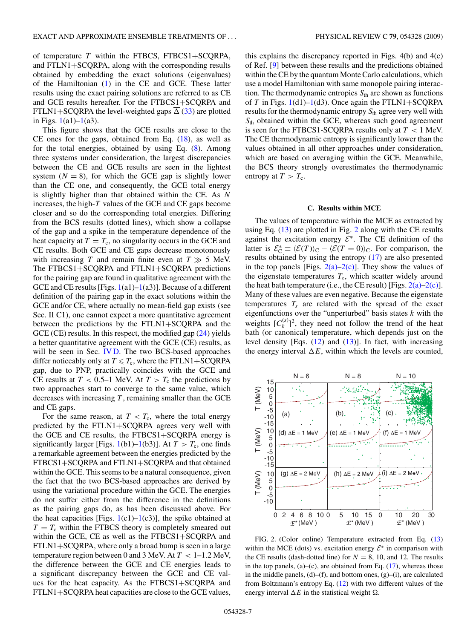<span id="page-6-0"></span>of temperature *T* within the FTBCS, FTBCS1+SCQRPA, and FTLN1+SCQRPA, along with the corresponding results obtained by embedding the exact solutions (eigenvalues) of the Hamiltonian [\(1\)](#page-1-0) in the CE and GCE. These latter results using the exact pairing solutions are referred to as CE and GCE results hereafter. For the FTBCS1+SCQRPA and FTLN1+SCQRPA the level-weighted gaps  $\Delta$  [\(33\)](#page-4-0) are plotted in Figs.  $1(a1) - 1(a3)$  $1(a1) - 1(a3)$ .

This figure shows that the GCE results are close to the CE ones for the gaps, obtained from Eq.  $(18)$ , as well as for the total energies, obtained by using Eq. [\(8\)](#page-2-0). Among three systems under consideration, the largest discrepancies between the CE and GCE results are seen in the lightest system  $(N = 8)$ , for which the GCE gap is slightly lower than the CE one, and consequently, the GCE total energy is slightly higher than that obtained within the CE. As *N* increases, the high-*T* values of the GCE and CE gaps become closer and so do the corresponding total energies. Differing from the BCS results (dotted lines), which show a collapse of the gap and a spike in the temperature dependence of the heat capacity at  $T = T_c$ , no singularity occurs in the GCE and CE results. Both GCE and CE gaps decrease monotonously with increasing *T* and remain finite even at  $T \gg 5$  MeV. The FTBCS1+SCQRPA and FTLN1+SCQRPA predictions for the pairing gap are found in qualitative agreement with the GCE and CE results [Figs.  $1(a1)$  $1(a1)$ – $1(a3)$ ]. Because of a different definition of the pairing gap in the exact solutions within the GCE and/or CE, where actually no mean-field gap exists (see Sec. II C1), one cannot expect a more quantitative agreement between the predictions by the FTLN1+SCQRPA and the GCE (CE) results. In this respect, the modified gap  $(24)$  yields a better quantitative agreement with the GCE (CE) results, as will be seen in Sec. [IV D.](#page-7-0) The two BCS-based approaches differ noticeably only at  $T \leq T_c$ , where the FTLN1+SCQRPA gap, due to PNP, practically coincides with the GCE and CE results at  $T < 0.5$ –1 MeV. At  $T > T_c$  the predictions by two approaches start to converge to the same value, which decreases with increasing  $T$ , remaining smaller than the GCE and CE gaps.

For the same reason, at  $T < T_c$ , where the total energy predicted by the FTLN1+SCQRPA agrees very well with the GCE and CE results, the FTBCS1+SCQRPA energy is significantly larger [Figs. [1\(](#page-5-0)b1)[–1\(](#page-5-0)b3)]. At  $T > T_c$ , one finds a remarkable agreement between the energies predicted by the FTBCS1+SCQRPA and FTLN1+SCQRPA and that obtained within the GCE. This seems to be a natural consequence, given the fact that the two BCS-based approaches are derived by using the variational procedure within the GCE. The energies do not suffer either from the difference in the definitions as the pairing gaps do, as has been discussed above. For the heat capacities [Figs.  $1(c1)$  $1(c1)$ – $1(c3)$ ], the spike obtained at  $T = T_c$  within the FTBCS theory is completely smeared out within the GCE, CE as well as the FTBCS1+SCQRPA and FTLN1+SCQRPA, where only a broad bump is seen in a large temperature region between 0 and 3 MeV. At *T <* 1–1*.*2 MeV, the difference between the GCE and CE energies leads to a significant discrepancy between the GCE and CE values for the heat capacity. As the FTBCS1+SCQRPA and FTLN1+SCQRPA heat capacities are close to the GCE values,

this explains the discrepancy reported in Figs.  $4(b)$  and  $4(c)$ of Ref. [\[9\]](#page-9-0) between these results and the predictions obtained within the CE by the quantum Monte Carlo calculations, which use a model Hamiltonian with same monopole pairing interaction. The thermodynamic entropies  $S_{th}$  are shown as functions of *T* in Figs.  $1(d1) - 1(d3)$  $1(d1) - 1(d3)$ . Once again the FTLN1+SCQRPA results for the thermodynamic entropy  $S_{th}$  agree very well with *S*th obtained within the GCE, whereas such good agreement is seen for the FTBCS1-SCQRPA results only at *T <* 1 MeV. The CE thermodynamic entropy is significantly lower than the values obtained in all other approaches under consideration, which are based on averaging within the GCE. Meanwhile, the BCS theory strongly overestimates the thermodynamic entropy at  $T > T_c$ .

#### **C. Results within MCE**

The values of temperature within the MCE as extracted by using Eq. [\(13\)](#page-2-0) are plotted in Fig. 2 along with the CE results against the excitation energy  $\mathcal{E}^*$ . The CE definition of the latter is  $\mathcal{E}_C^* \equiv \langle \mathcal{E}(T) \rangle_C - \langle \mathcal{E}(T=0) \rangle_C$ . For comparison, the results obtained by using the entropy [\(17\)](#page-3-0) are also presented in the top panels [Figs.  $2(a)-2(c)$ ]. They show the values of the eigenstate temperatures  $T_s$ , which scatter widely around the heat bath temperature (i.e., the CE result) [Figs.  $2(a)-2(c)$ ]. Many of these values are even negative. Because the eigenstate temperatures  $T_s$  are related with the spread of the exact eigenfunctions over the "unperturbed" basis states *k* with the weights  $[C_k^{(s)}]^2$ , they need not follow the trend of the heat bath (or canonical) temperature, which depends just on the level density [Eqs. [\(12\)](#page-2-0) and [\(13\)](#page-2-0)]. In fact, with increasing the energy interval  $\Delta E$ , within which the levels are counted,



FIG. 2. (Color online) Temperature extracted from Eq. [\(13\)](#page-2-0) within the MCE (dots) vs. excitation energy  $\mathcal{E}^*$  in comparison with the CE results (dash-dotted line) for  $N = 8$ , 10, and 12. The results in the top panels,  $(a)$ – $(c)$ , are obtained from Eq.  $(17)$ , whereas those in the middle panels,  $(d)$ – $(f)$ , and bottom ones,  $(g)$ – $(i)$ , are calculated from Boltzmann's entropy Eq. [\(12\)](#page-2-0) with two different values of the energy interval  $\Delta E$  in the statistical weight  $\Omega$ .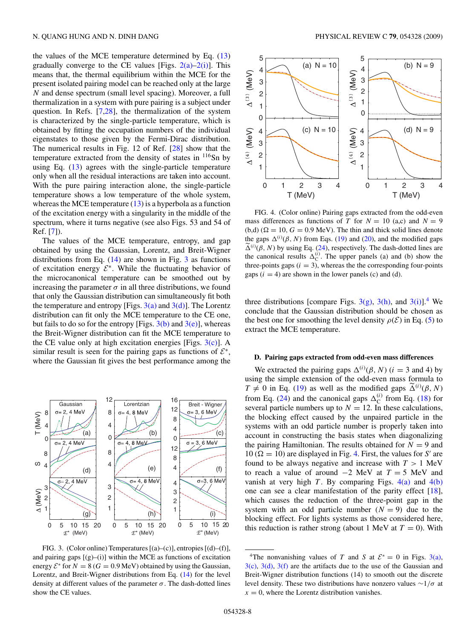<span id="page-7-0"></span>the values of the MCE temperature determined by Eq. [\(13\)](#page-2-0) gradually converge to the CE values [Figs.  $2(a)-2(i)$ ]. This means that, the thermal equilibrium within the MCE for the present isolated pairing model can be reached only at the large *N* and dense spectrum (small level spacing). Moreover, a full thermalization in a system with pure pairing is a subject under question. In Refs. [\[7,28\]](#page-9-0), the thermalization of the system is characterized by the single-particle temperature, which is obtained by fitting the occupation numbers of the individual eigenstates to those given by the Fermi-Dirac distribution. The numerical results in Fig. 12 of Ref. [\[28\]](#page-9-0) show that the temperature extracted from the density of states in  $116$ Sn by using Eq. [\(13\)](#page-2-0) agrees with the single-particle temperature only when all the residual interactions are taken into account. With the pure pairing interaction alone, the single-particle temperature shows a low temperature of the whole system, whereas the MCE temperature  $(13)$  is a hyperbola as a function of the excitation energy with a singularity in the middle of the spectrum, where it turns negative (see also Figs. 53 and 54 of Ref. [\[7\]](#page-9-0)).

The values of the MCE temperature, entropy, and gap obtained by using the Gaussian, Lorentz, and Breit-Wigner distributions from Eq.  $(14)$  are shown in Fig. 3 as functions of excitation energy  $\mathcal{E}^*$ . While the fluctuating behavior of the microcanonical temperature can be smoothed out by increasing the parameter  $\sigma$  in all three distributions, we found that only the Gaussian distribution can simultaneously fit both the temperature and entropy [Figs.  $3(a)$  and  $3(d)$ ]. The Lorentz distribution can fit only the MCE temperature to the CE one, but fails to do so for the entropy [Figs.  $3(b)$  and  $3(e)$ ], whereas the Breit-Wigner distribution can fit the MCE temperature to the CE value only at high excitation energies [Figs.  $3(c)$ ]. A similar result is seen for the pairing gaps as functions of  $\mathcal{E}^*$ , where the Gaussian fit gives the best performance among the



FIG. 3. (Color online) Temperatures [(a)–(c)], entropies [(d)–(f)], and pairing gaps  $[(g)–(i)]$  within the MCE as functions of excitation energy  $\mathcal{E}^*$  for  $N = 8$  ( $G = 0.9$  MeV) obtained by using the Gaussian, Lorentz, and Breit-Wigner distributions from Eq. [\(14\)](#page-2-0) for the level density at different values of the parameter  $\sigma$ . The dash-dotted lines show the CE values.



FIG. 4. (Color online) Pairing gaps extracted from the odd-even mass differences as functions of *T* for  $N = 10$  (a,c) and  $N = 9$  $(b,d)$  ( $\Omega = 10$ ,  $G = 0.9$  MeV). The thin and thick solid lines denote the gaps  $\Delta^{(i)}(\beta, N)$  from Eqs. [\(19\)](#page-3-0) and [\(20\)](#page-3-0), and the modified gaps  $\tilde{\Delta}^{(i)}(\beta, N)$  by using Eq. [\(24\)](#page-3-0), respectively. The dash-dotted lines are the canonical results  $\Delta_C^{(i)}$ . The upper panels (a) and (b) show the three-points gaps  $(i = 3)$ , whereas the the corresponding four-points gaps  $(i = 4)$  are shown in the lower panels  $(c)$  and  $(d)$ .

three distributions [compare Figs.  $3(g)$ ,  $3(h)$ , and  $3(i)$ ].<sup>4</sup> We conclude that the Gaussian distribution should be chosen as the best one for smoothing the level density  $\rho(\mathcal{E})$  in Eq. [\(5\)](#page-1-0) to extract the MCE temperature.

#### **D. Pairing gaps extracted from odd-even mass differences**

We extracted the pairing gaps  $\Delta^{(i)}(\beta, N)$  (*i* = 3 and 4) by using the simple extension of the odd-even mass formula to  $T \neq 0$  in Eq. [\(19\)](#page-3-0) as well as the modified gaps  $\tilde{\Delta}^{(i)}(\beta, N)$ from Eq. [\(24\)](#page-3-0) and the canonical gaps  $\Delta_{\rm C}^{(i)}$  from Eq. [\(18\)](#page-3-0) for several particle numbers up to  $N = 12$ . In these calculations, the blocking effect caused by the unpaired particle in the systems with an odd particle number is properly taken into account in constructing the basis states when diagonalizing the pairing Hamiltonian. The results obtained for  $N = 9$  and  $10 (\Omega = 10)$  are displayed in Fig. 4. First, the values for *S'* are found to be always negative and increase with  $T > 1$  MeV to reach a value of around  $-2$  MeV at  $T = 5$  MeV and vanish at very high  $T$ . By comparing Figs.  $4(a)$  and  $4(b)$ one can see a clear manifestation of the parity effect [\[18\]](#page-9-0), which causes the reduction of the three-point gap in the system with an odd particle number  $(N = 9)$  due to the blocking effect. For lights systems as those considered here, this reduction is rather strong (about 1 MeV at  $T = 0$ ). With

<sup>&</sup>lt;sup>4</sup>The nonvanishing values of *T* and *S* at  $\mathcal{E}^* = 0$  in Figs. 3(a), 3(c), 3(d), 3(f) are the artifacts due to the use of the Gaussian and Breit-Wigner distribution functions (14) to smooth out the discrete level density. These two distributions have nonzero values ∼1*/σ* at  $x = 0$ , where the Lorentz distribution vanishes.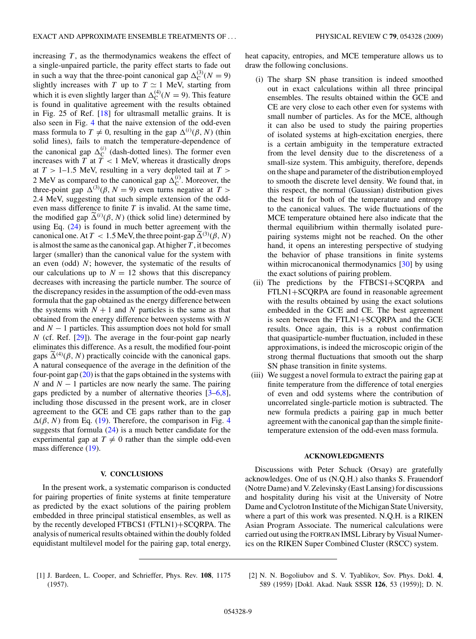<span id="page-8-0"></span>increasing *T* , as the thermodynamics weakens the effect of a single-unpaired particle, the parity effect starts to fade out in such a way that the three-point canonical gap  $\Delta_C^{(3)}(N=9)$ slightly increases with *T* up to  $T \approx 1$  MeV, starting from which it is even slightly larger than  $\Delta_C^{(4)}(N = 9)$ . This feature is found in qualitative agreement with the results obtained in Fig. 25 of Ref. [\[18\]](#page-9-0) for ultrasmall metallic grains. It is also seen in Fig. [4](#page-7-0) that the naive extension of the odd-even mass formula to  $T \neq 0$ , resulting in the gap  $\Delta^{(i)}(\beta, N)$  (thin solid lines), fails to match the temperature-dependence of the canonical gap  $\Delta_C^{(i)}$  (dash-dotted lines). The former even increases with *T* at *T <* 1 MeV, whereas it drastically drops at *T >* 1–1*.*5 MeV, resulting in a very depleted tail at *T >* 2 MeV as compared to the canonical gap  $\Delta_C^{(i)}$ . Moreover, the three-point gap  $\Delta^{(3)}(\beta, N = 9)$  even turns negative at *T* > 2*.*4 MeV, suggesting that such simple extension of the oddeven mass difference to finite  $T$  is invalid. At the same time, the modified gap  $\tilde{\Delta}^{(i)}(\beta, N)$  (thick solid line) determined by using Eq.  $(24)$  is found in much better agreement with the canonical one. At  $T < 1.5$  MeV, the three point-gap  $\tilde{\Delta}^{(3)}(\beta, N)$ is almost the same as the canonical gap. At higher *T* , it becomes larger (smaller) than the canonical value for the system with an even (odd) *N*; however, the systematic of the results of our calculations up to  $N = 12$  shows that this discrepancy decreases with increasing the particle number. The source of the discrepancy resides in the assumption of the odd-even mass formula that the gap obtained as the energy difference between the systems with  $N + 1$  and  $N$  particles is the same as that obtained from the energy difference between systems with *N* and  $N - 1$  particles. This assumption does not hold for small *N* (cf. Ref. [\[29\]](#page-9-0)). The average in the four-point gap nearly eliminates this difference. As a result, the modified four-point gaps  $\tilde{\Delta}^{(4)}(\beta, N)$  practically coincide with the canonical gaps. A natural consequence of the average in the definition of the four-point gap  $(20)$  is that the gaps obtained in the systems with *N* and *N* − 1 particles are now nearly the same. The pairing gaps predicted by a number of alternative theories [\[3–6,8\]](#page-9-0), including those discussed in the present work, are in closer agreement to the GCE and CE gaps rather than to the gap  $\Delta(\beta, N)$  from Eq. [\(19\)](#page-3-0). Therefore, the comparison in Fig. [4](#page-7-0) suggests that formula  $(24)$  is a much better candidate for the experimental gap at  $T \neq 0$  rather than the simple odd-even mass difference [\(19\)](#page-3-0).

# **V. CONCLUSIONS**

In the present work, a systematic comparison is conducted for pairing properties of finite systems at finite temperature as predicted by the exact solutions of the pairing problem embedded in three principal statistical ensembles, as well as by the recently developed FTBCS1 (FTLN1)+SCQRPA. The analysis of numerical results obtained within the doubly folded equidistant multilevel model for the pairing gap, total energy,

heat capacity, entropies, and MCE temperature allows us to draw the following conclusions.

- (i) The sharp SN phase transition is indeed smoothed out in exact calculations within all three principal ensembles. The results obtained within the GCE and CE are very close to each other even for systems with small number of particles. As for the MCE, although it can also be used to study the pairing properties of isolated systems at high-excitation energies, there is a certain ambiguity in the temperature extracted from the level density due to the discreteness of a small-size system. This ambiguity, therefore, depends on the shape and parameter of the distribution employed to smooth the discrete level density. We found that, in this respect, the normal (Gaussian) distribution gives the best fit for both of the temperature and entropy to the canonical values. The wide fluctuations of the MCE temperature obtained here also indicate that the thermal equilibrium within thermally isolated purepairing systems might not be reached. On the other hand, it opens an interesting perspective of studying the behavior of phase transitions in finite systems within microcanonical thermodynamics [\[30\]](#page-9-0) by using the exact solutions of pairing problem.
- (ii) The predictions by the FTBCS1+SCQRPA and FTLN1+SCQRPA are found in reasonable agreement with the results obtained by using the exact solutions embedded in the GCE and CE. The best agreement is seen between the FTLN1+SCQRPA and the GCE results. Once again, this is a robust confirmation that quasiparticle-number fluctuation, included in these approximations, is indeed the microscopic origin of the strong thermal fluctuations that smooth out the sharp SN phase transition in finite systems.
- (iii) We suggest a novel formula to extract the pairing gap at finite temperature from the difference of total energies of even and odd systems where the contribution of uncorrelated single-particle motion is subtracted. The new formula predicts a pairing gap in much better agreement with the canonical gap than the simple finitetemperature extension of the odd-even mass formula.

# **ACKNOWLEDGMENTS**

Discussions with Peter Schuck (Orsay) are gratefully acknowledges. One of us (N.Q.H.) also thanks S. Frauendorf (Notre Dame) and V. Zelevinsky (East Lansing) for discussions and hospitality during his visit at the University of Notre Dame and Cyclotron Institute of the Michigan State University, where a part of this work was presented. N.Q.H. is a RIKEN Asian Program Associate. The numerical calculations were carried out using the FORTRAN IMSL Library by Visual Numerics on the RIKEN Super Combined Cluster (RSCC) system.

[1] J. Bardeen, L. Cooper, and Schrieffer, Phys. Rev. **108**, 1175 (1957).

<sup>[2]</sup> N. N. Bogoliubov and S. V. Tyablikov, Sov. Phys. Dokl. **4**, 589 (1959) [Dokl. Akad. Nauk SSSR **126**, 53 (1959)]; D. N.